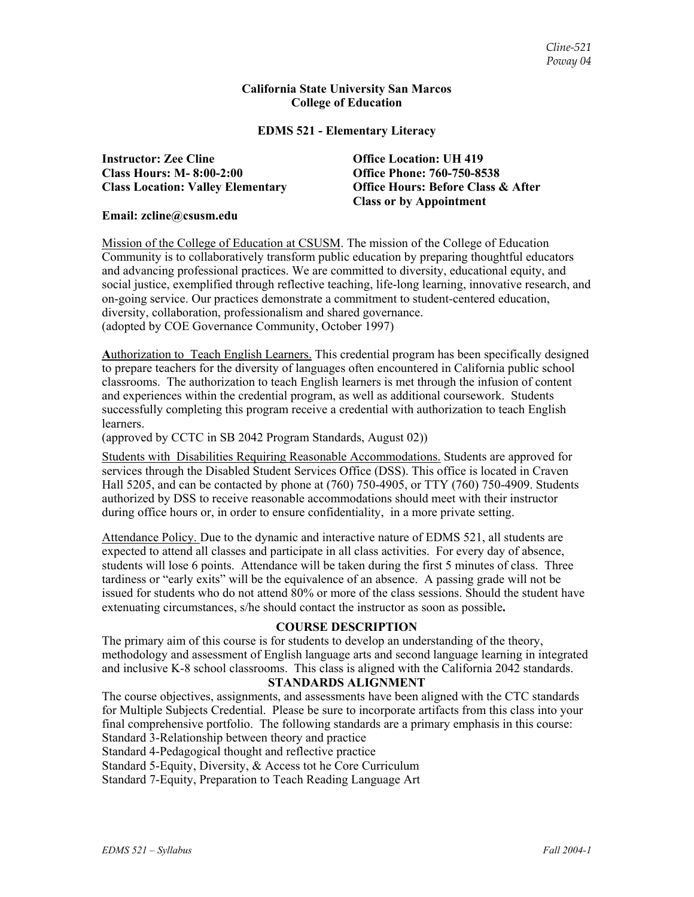#### **California State University San Marcos College of Education**

#### **EDMS 521 - Elementary Literacy**

**Instructor: Zee Cline Office Location: UH 419 Class Hours: M- 8:00-2:00 Office Phone: 760-750-8538** 

**Class Location: Valley Elementary Office Hours: Before Class & After Class or by Appointment** 

#### **Email: zcline@csusm.edu**

Mission of the College of Education at CSUSM. The mission of the College of Education Community is to collaboratively transform public education by preparing thoughtful educators and advancing professional practices. We are committed to diversity, educational equity, and social justice, exemplified through reflective teaching, life-long learning, innovative research, and on-going service. Our practices demonstrate a commitment to student-centered education, diversity, collaboration, professionalism and shared governance. (adopted by COE Governance Community, October 1997)

**A**uthorization to Teach English Learners. This credential program has been specifically designed to prepare teachers for the diversity of languages often encountered in California public school classrooms. The authorization to teach English learners is met through the infusion of content and experiences within the credential program, as well as additional coursework. Students successfully completing this program receive a credential with authorization to teach English learners.

(approved by CCTC in SB 2042 Program Standards, August 02))

Students with Disabilities Requiring Reasonable Accommodations. Students are approved for services through the Disabled Student Services Office (DSS). This office is located in Craven Hall 5205, and can be contacted by phone at (760) 750-4905, or TTY (760) 750-4909. Students authorized by DSS to receive reasonable accommodations should meet with their instructor during office hours or, in order to ensure confidentiality, in a more private setting.

Attendance Policy. Due to the dynamic and interactive nature of EDMS 521, all students are expected to attend all classes and participate in all class activities. For every day of absence, students will lose 6 points. Attendance will be taken during the first 5 minutes of class. Three tardiness or "early exits" will be the equivalence of an absence. A passing grade will not be issued for students who do not attend 80% or more of the class sessions. Should the student have extenuating circumstances, s/he should contact the instructor as soon as possible**.**

### **COURSE DESCRIPTION**

The primary aim of this course is for students to develop an understanding of the theory, methodology and assessment of English language arts and second language learning in integrated and inclusive K-8 school classrooms. This class is aligned with the California 2042 standards.

#### **STANDARDS ALIGNMENT**

The course objectives, assignments, and assessments have been aligned with the CTC standards for Multiple Subjects Credential. Please be sure to incorporate artifacts from this class into your final comprehensive portfolio. The following standards are a primary emphasis in this course: Standard 3-Relationship between theory and practice

Standard 4-Pedagogical thought and reflective practice

Standard 5-Equity, Diversity, & Access tot he Core Curriculum

Standard 7-Equity, Preparation to Teach Reading Language Art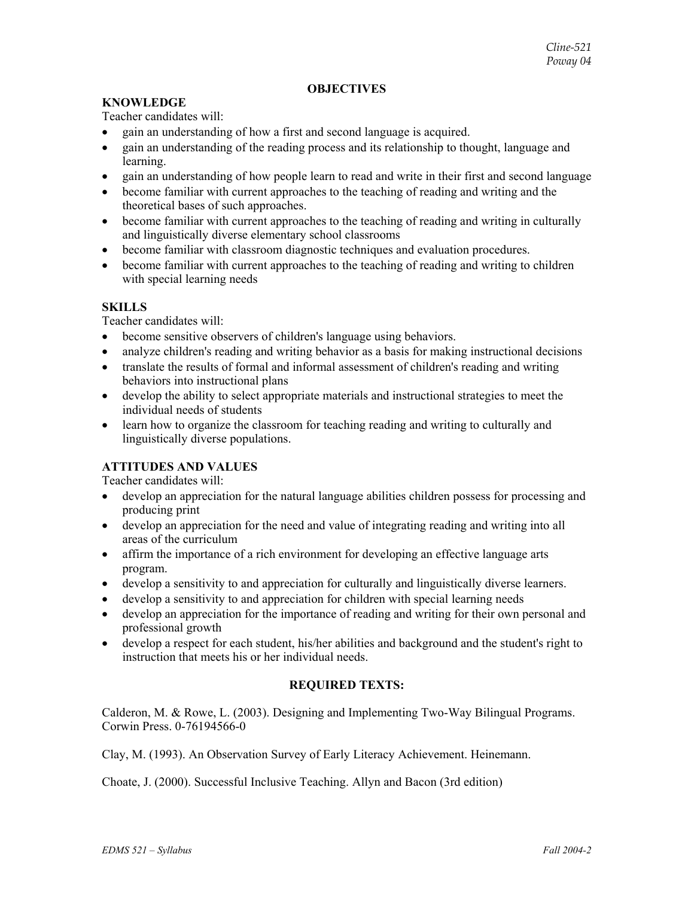#### **OBJECTIVES**

#### **KNOWLEDGE**

Teacher candidates will:

- gain an understanding of how a first and second language is acquired.
- gain an understanding of the reading process and its relationship to thought, language and learning.
- gain an understanding of how people learn to read and write in their first and second language
- become familiar with current approaches to the teaching of reading and writing and the theoretical bases of such approaches.
- become familiar with current approaches to the teaching of reading and writing in culturally and linguistically diverse elementary school classrooms
- become familiar with classroom diagnostic techniques and evaluation procedures.
- become familiar with current approaches to the teaching of reading and writing to children with special learning needs

#### **SKILLS**

Teacher candidates will:

- become sensitive observers of children's language using behaviors.
- analyze children's reading and writing behavior as a basis for making instructional decisions
- translate the results of formal and informal assessment of children's reading and writing behaviors into instructional plans
- develop the ability to select appropriate materials and instructional strategies to meet the individual needs of students
- learn how to organize the classroom for teaching reading and writing to culturally and linguistically diverse populations.

### **ATTITUDES AND VALUES**

Teacher candidates will:

- develop an appreciation for the natural language abilities children possess for processing and producing print
- develop an appreciation for the need and value of integrating reading and writing into all areas of the curriculum
- affirm the importance of a rich environment for developing an effective language arts program.
- develop a sensitivity to and appreciation for culturally and linguistically diverse learners.
- develop a sensitivity to and appreciation for children with special learning needs
- develop an appreciation for the importance of reading and writing for their own personal and professional growth
- develop a respect for each student, his/her abilities and background and the student's right to instruction that meets his or her individual needs.

### **REQUIRED TEXTS:**

Calderon, M. & Rowe, L. (2003). Designing and Implementing Two-Way Bilingual Programs. Corwin Press. 0-76194566-0

Clay, M. (1993). An Observation Survey of Early Literacy Achievement. Heinemann.

Choate, J. (2000). Successful Inclusive Teaching. Allyn and Bacon (3rd edition)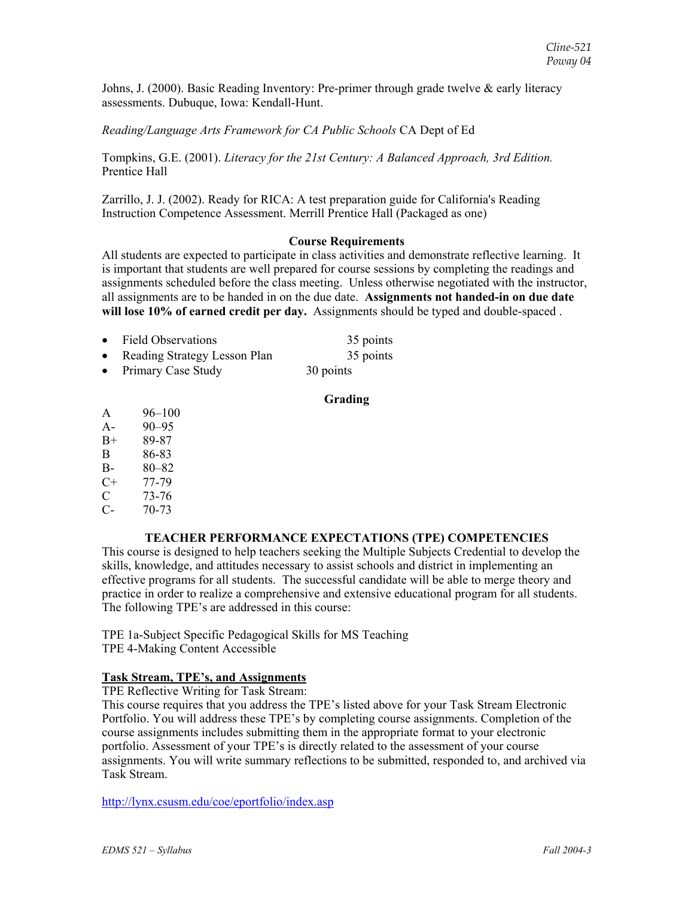Johns, J. (2000). Basic Reading Inventory: Pre-primer through grade twelve & early literacy assessments. Dubuque, Iowa: Kendall-Hunt.

### *Reading/Language Arts Framework for CA Public Schools* CA Dept of Ed

Tompkins, G.E. (2001). *Literacy for the 21st Century: A Balanced Approach, 3rd Edition.* Prentice Hall

Zarrillo, J. J. (2002). Ready for RICA: A test preparation guide for California's Reading Instruction Competence Assessment. Merrill Prentice Hall (Packaged as one)

#### **Course Requirements**

All students are expected to participate in class activities and demonstrate reflective learning. It is important that students are well prepared for course sessions by completing the readings and assignments scheduled before the class meeting. Unless otherwise negotiated with the instructor, all assignments are to be handed in on the due date. **Assignments not handed-in on due date will lose 10% of earned credit per day.** Assignments should be typed and double-spaced .

| • Field Observations           | 35 points |
|--------------------------------|-----------|
| • Reading Strategy Lesson Plan | 35 points |
| • Primary Case Study           | 30 points |

#### **Grading**

- A 96–100
- A- 90–95
- B+ 89-87
- B 86-83
- B- 80–82
- $C+ 77-79$
- C 73-76
- C- 70-73

### **TEACHER PERFORMANCE EXPECTATIONS (TPE) COMPETENCIES**

This course is designed to help teachers seeking the Multiple Subjects Credential to develop the skills, knowledge, and attitudes necessary to assist schools and district in implementing an effective programs for all students. The successful candidate will be able to merge theory and practice in order to realize a comprehensive and extensive educational program for all students. The following TPE's are addressed in this course:

TPE 1a-Subject Specific Pedagogical Skills for MS Teaching TPE 4-Making Content Accessible

### **Task Stream, TPE's, and Assignments**

TPE Reflective Writing for Task Stream:

This course requires that you address the TPE's listed above for your Task Stream Electronic Portfolio. You will address these TPE's by completing course assignments. Completion of the course assignments includes submitting them in the appropriate format to your electronic portfolio. Assessment of your TPE's is directly related to the assessment of your course assignments. You will write summary reflections to be submitted, responded to, and archived via Task Stream.

http://lynx.csusm.edu/coe/eportfolio/index.asp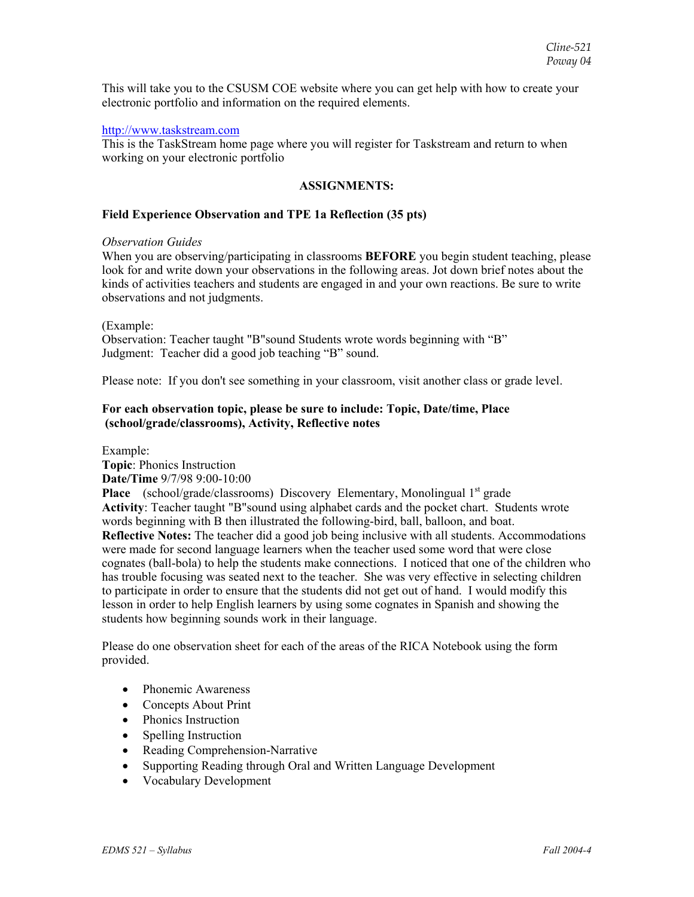This will take you to the CSUSM COE website where you can get help with how to create your electronic portfolio and information on the required elements.

#### http://www.taskstream.com

This is the TaskStream home page where you will register for Taskstream and return to when working on your electronic portfolio

#### **ASSIGNMENTS:**

#### **Field Experience Observation and TPE 1a Reflection (35 pts)**

#### *Observation Guides*

When you are observing/participating in classrooms **BEFORE** you begin student teaching, please look for and write down your observations in the following areas. Jot down brief notes about the kinds of activities teachers and students are engaged in and your own reactions. Be sure to write observations and not judgments.

#### (Example:

Observation: Teacher taught "B"sound Students wrote words beginning with "B" Judgment: Teacher did a good job teaching "B" sound.

Please note: If you don't see something in your classroom, visit another class or grade level.

### **For each observation topic, please be sure to include: Topic, Date/time, Place (school/grade/classrooms), Activity, Reflective notes**

Example:

**Topic**: Phonics Instruction **Date/Time** 9/7/98 9:00-10:00

**Place** (school/grade/classrooms) Discovery Elementary, Monolingual 1<sup>st</sup> grade **Activity**: Teacher taught "B"sound using alphabet cards and the pocket chart. Students wrote words beginning with B then illustrated the following-bird, ball, balloon, and boat. **Reflective Notes:** The teacher did a good job being inclusive with all students. Accommodations were made for second language learners when the teacher used some word that were close cognates (ball-bola) to help the students make connections. I noticed that one of the children who has trouble focusing was seated next to the teacher. She was very effective in selecting children to participate in order to ensure that the students did not get out of hand. I would modify this lesson in order to help English learners by using some cognates in Spanish and showing the students how beginning sounds work in their language.

Please do one observation sheet for each of the areas of the RICA Notebook using the form provided.

- Phonemic Awareness
- Concepts About Print
- Phonics Instruction
- Spelling Instruction
- Reading Comprehension-Narrative
- Supporting Reading through Oral and Written Language Development
- Vocabulary Development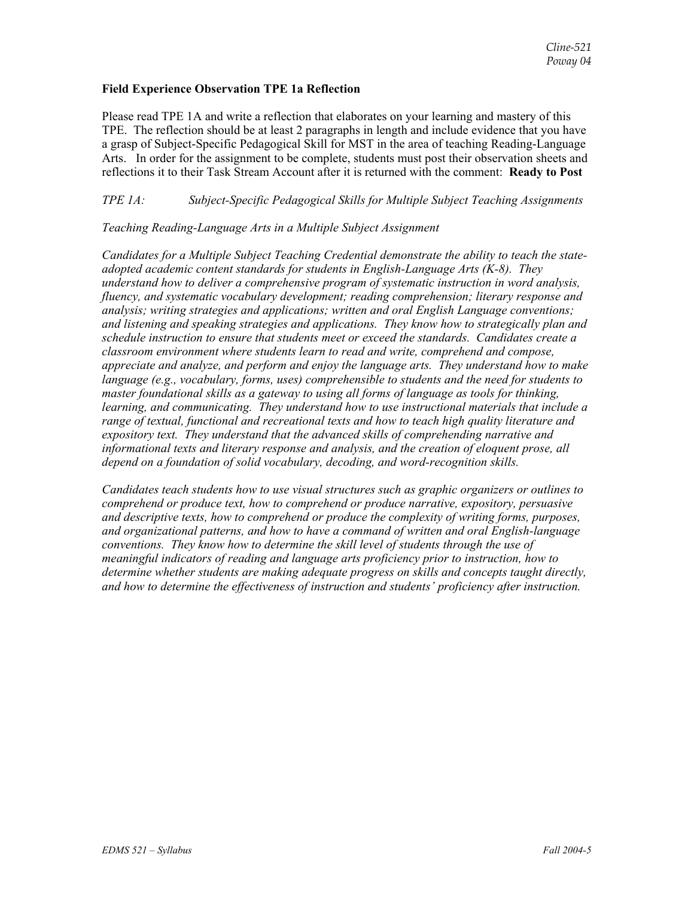#### **Field Experience Observation TPE 1a Reflection**

Please read TPE 1A and write a reflection that elaborates on your learning and mastery of this TPE. The reflection should be at least 2 paragraphs in length and include evidence that you have a grasp of Subject-Specific Pedagogical Skill for MST in the area of teaching Reading-Language Arts. In order for the assignment to be complete, students must post their observation sheets and reflections it to their Task Stream Account after it is returned with the comment: **Ready to Post**

*TPE 1A: Subject-Specific Pedagogical Skills for Multiple Subject Teaching Assignments* 

### *Teaching Reading-Language Arts in a Multiple Subject Assignment*

*Candidates for a Multiple Subject Teaching Credential demonstrate the ability to teach the stateadopted academic content standards for students in English-Language Arts (K-8). They understand how to deliver a comprehensive program of systematic instruction in word analysis, fluency, and systematic vocabulary development; reading comprehension; literary response and analysis; writing strategies and applications; written and oral English Language conventions; and listening and speaking strategies and applications. They know how to strategically plan and schedule instruction to ensure that students meet or exceed the standards. Candidates create a classroom environment where students learn to read and write, comprehend and compose, appreciate and analyze, and perform and enjoy the language arts. They understand how to make language (e.g., vocabulary, forms, uses) comprehensible to students and the need for students to master foundational skills as a gateway to using all forms of language as tools for thinking, learning, and communicating. They understand how to use instructional materials that include a range of textual, functional and recreational texts and how to teach high quality literature and expository text. They understand that the advanced skills of comprehending narrative and informational texts and literary response and analysis, and the creation of eloquent prose, all depend on a foundation of solid vocabulary, decoding, and word-recognition skills.* 

*Candidates teach students how to use visual structures such as graphic organizers or outlines to comprehend or produce text, how to comprehend or produce narrative, expository, persuasive and descriptive texts, how to comprehend or produce the complexity of writing forms, purposes, and organizational patterns, and how to have a command of written and oral English-language conventions. They know how to determine the skill level of students through the use of meaningful indicators of reading and language arts proficiency prior to instruction, how to determine whether students are making adequate progress on skills and concepts taught directly, and how to determine the effectiveness of instruction and students' proficiency after instruction.*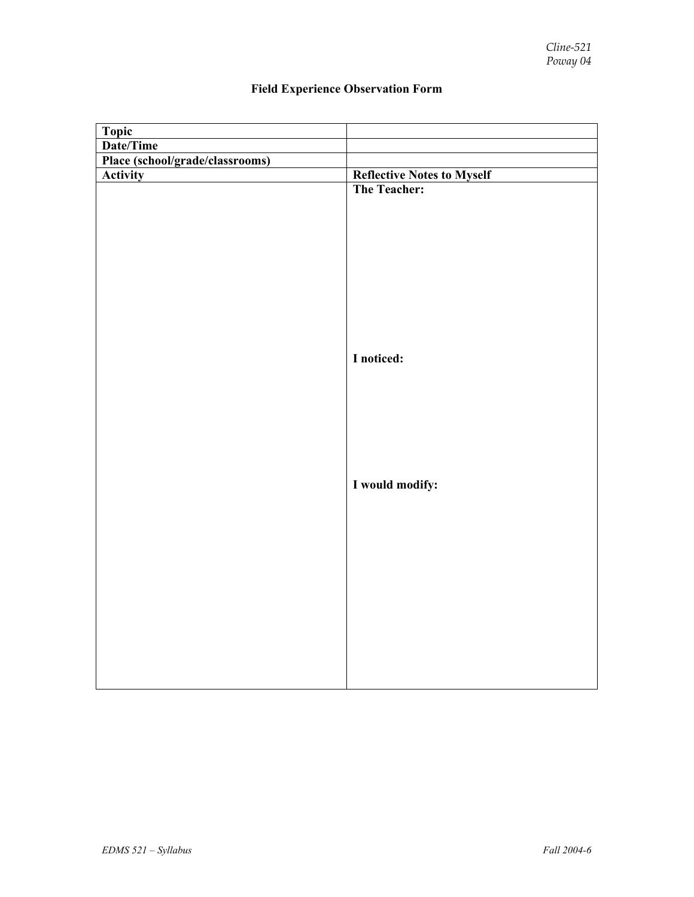| Topic                           |                                   |
|---------------------------------|-----------------------------------|
| Date/Time                       |                                   |
| Place (school/grade/classrooms) |                                   |
| <b>Activity</b>                 | <b>Reflective Notes to Myself</b> |
|                                 | The Teacher:                      |
|                                 |                                   |
|                                 |                                   |
|                                 |                                   |
|                                 |                                   |
|                                 |                                   |
|                                 |                                   |
|                                 |                                   |
|                                 |                                   |
|                                 |                                   |
|                                 | I noticed:                        |
|                                 |                                   |
|                                 |                                   |
|                                 |                                   |
|                                 |                                   |
|                                 |                                   |
|                                 |                                   |
|                                 |                                   |
|                                 | I would modify:                   |
|                                 |                                   |
|                                 |                                   |
|                                 |                                   |
|                                 |                                   |
|                                 |                                   |
|                                 |                                   |
|                                 |                                   |
|                                 |                                   |
|                                 |                                   |
|                                 |                                   |
|                                 |                                   |
|                                 |                                   |
|                                 |                                   |

# **Field Experience Observation Form**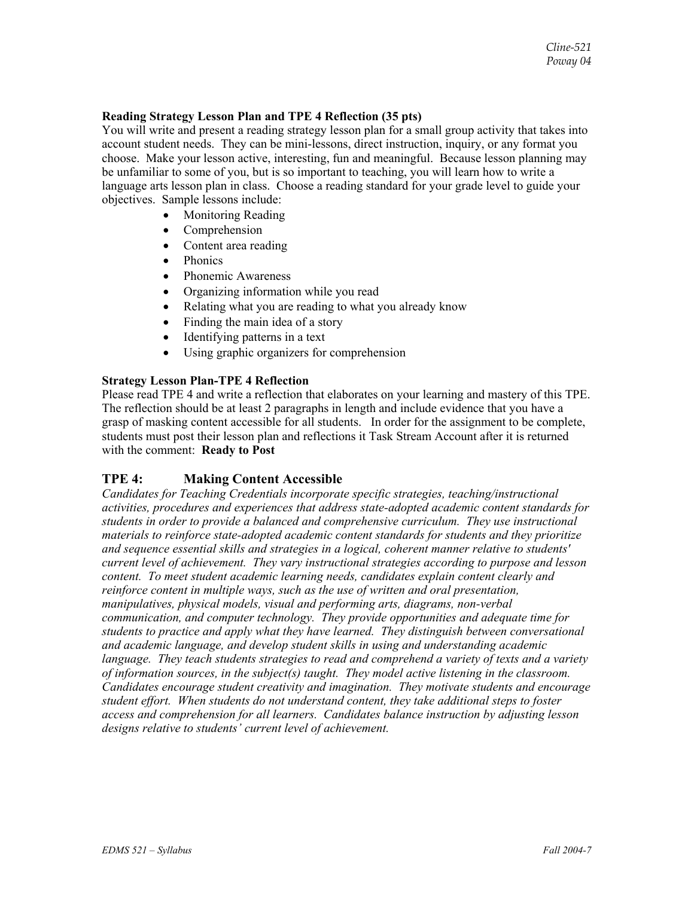#### **Reading Strategy Lesson Plan and TPE 4 Reflection (35 pts)**

You will write and present a reading strategy lesson plan for a small group activity that takes into account student needs. They can be mini-lessons, direct instruction, inquiry, or any format you choose. Make your lesson active, interesting, fun and meaningful. Because lesson planning may be unfamiliar to some of you, but is so important to teaching, you will learn how to write a language arts lesson plan in class. Choose a reading standard for your grade level to guide your objectives. Sample lessons include:

- Monitoring Reading
- **Comprehension**
- Content area reading
- Phonics
- Phonemic Awareness
- Organizing information while you read
- Relating what you are reading to what you already know
- Finding the main idea of a story
- Identifying patterns in a text
- Using graphic organizers for comprehension

### **Strategy Lesson Plan-TPE 4 Reflection**

Please read TPE 4 and write a reflection that elaborates on your learning and mastery of this TPE. The reflection should be at least 2 paragraphs in length and include evidence that you have a grasp of masking content accessible for all students. In order for the assignment to be complete, students must post their lesson plan and reflections it Task Stream Account after it is returned with the comment: **Ready to Post**

## **TPE 4: Making Content Accessible**

*Candidates for Teaching Credentials incorporate specific strategies, teaching/instructional activities, procedures and experiences that address state-adopted academic content standards for students in order to provide a balanced and comprehensive curriculum. They use instructional materials to reinforce state-adopted academic content standards for students and they prioritize and sequence essential skills and strategies in a logical, coherent manner relative to students' current level of achievement. They vary instructional strategies according to purpose and lesson content. To meet student academic learning needs, candidates explain content clearly and reinforce content in multiple ways, such as the use of written and oral presentation, manipulatives, physical models, visual and performing arts, diagrams, non-verbal communication, and computer technology. They provide opportunities and adequate time for students to practice and apply what they have learned. They distinguish between conversational and academic language, and develop student skills in using and understanding academic language. They teach students strategies to read and comprehend a variety of texts and a variety of information sources, in the subject(s) taught. They model active listening in the classroom. Candidates encourage student creativity and imagination. They motivate students and encourage student effort. When students do not understand content, they take additional steps to foster access and comprehension for all learners. Candidates balance instruction by adjusting lesson designs relative to students' current level of achievement.*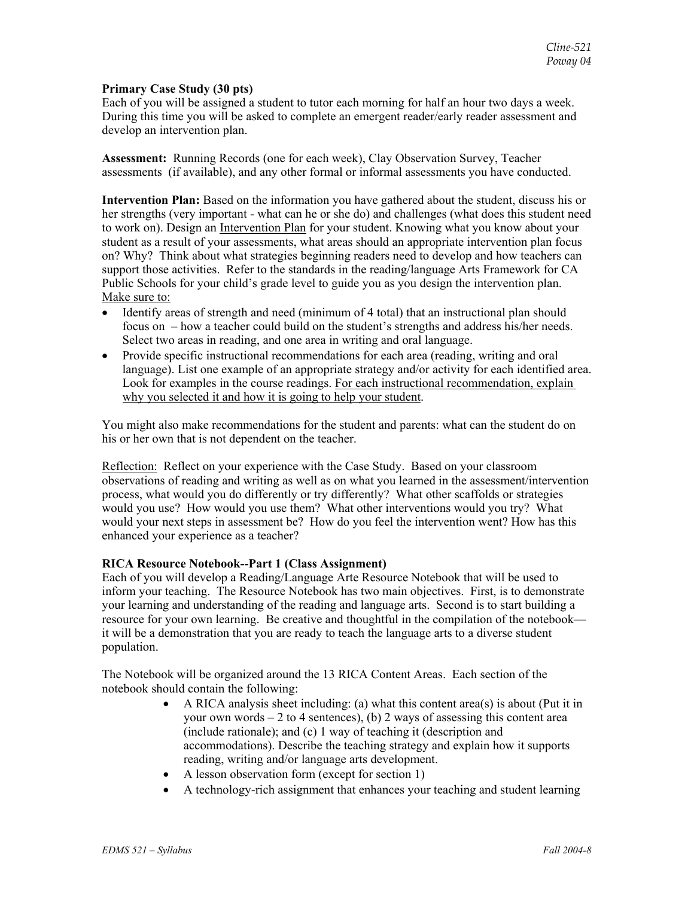#### **Primary Case Study (30 pts)**

Each of you will be assigned a student to tutor each morning for half an hour two days a week. During this time you will be asked to complete an emergent reader/early reader assessment and develop an intervention plan.

**Assessment:** Running Records (one for each week), Clay Observation Survey, Teacher assessments (if available), and any other formal or informal assessments you have conducted.

**Intervention Plan:** Based on the information you have gathered about the student, discuss his or her strengths (very important - what can he or she do) and challenges (what does this student need to work on). Design an Intervention Plan for your student. Knowing what you know about your student as a result of your assessments, what areas should an appropriate intervention plan focus on? Why? Think about what strategies beginning readers need to develop and how teachers can support those activities. Refer to the standards in the reading/language Arts Framework for CA Public Schools for your child's grade level to guide you as you design the intervention plan. Make sure to:

- Identify areas of strength and need (minimum of 4 total) that an instructional plan should focus on – how a teacher could build on the student's strengths and address his/her needs. Select two areas in reading, and one area in writing and oral language.
- Provide specific instructional recommendations for each area (reading, writing and oral language). List one example of an appropriate strategy and/or activity for each identified area. Look for examples in the course readings. For each instructional recommendation, explain why you selected it and how it is going to help your student.

You might also make recommendations for the student and parents: what can the student do on his or her own that is not dependent on the teacher.

Reflection: Reflect on your experience with the Case Study. Based on your classroom observations of reading and writing as well as on what you learned in the assessment/intervention process, what would you do differently or try differently? What other scaffolds or strategies would you use? How would you use them? What other interventions would you try? What would your next steps in assessment be? How do you feel the intervention went? How has this enhanced your experience as a teacher?

### **RICA Resource Notebook--Part 1 (Class Assignment)**

Each of you will develop a Reading/Language Arte Resource Notebook that will be used to inform your teaching. The Resource Notebook has two main objectives. First, is to demonstrate your learning and understanding of the reading and language arts. Second is to start building a resource for your own learning. Be creative and thoughtful in the compilation of the notebook it will be a demonstration that you are ready to teach the language arts to a diverse student population.

The Notebook will be organized around the 13 RICA Content Areas. Each section of the notebook should contain the following:

- A RICA analysis sheet including: (a) what this content area(s) is about (Put it in your own words  $-2$  to 4 sentences), (b) 2 ways of assessing this content area (include rationale); and (c) 1 way of teaching it (description and accommodations). Describe the teaching strategy and explain how it supports reading, writing and/or language arts development.
- A lesson observation form (except for section 1)
- A technology-rich assignment that enhances your teaching and student learning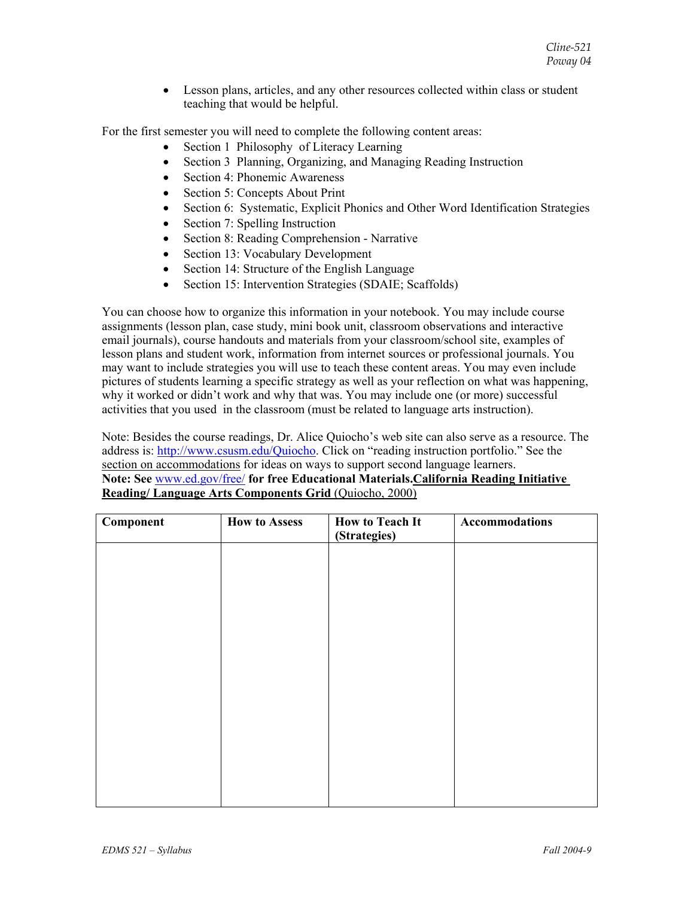• Lesson plans, articles, and any other resources collected within class or student teaching that would be helpful.

For the first semester you will need to complete the following content areas:

- Section 1 Philosophy of Literacy Learning
- Section 3 Planning, Organizing, and Managing Reading Instruction
- Section 4: Phonemic Awareness
- Section 5: Concepts About Print
- Section 6: Systematic, Explicit Phonics and Other Word Identification Strategies
- Section 7: Spelling Instruction
- Section 8: Reading Comprehension Narrative
- Section 13: Vocabulary Development
- Section 14: Structure of the English Language
- Section 15: Intervention Strategies (SDAIE; Scaffolds)

You can choose how to organize this information in your notebook. You may include course assignments (lesson plan, case study, mini book unit, classroom observations and interactive email journals), course handouts and materials from your classroom/school site, examples of lesson plans and student work, information from internet sources or professional journals. You may want to include strategies you will use to teach these content areas. You may even include pictures of students learning a specific strategy as well as your reflection on what was happening, why it worked or didn't work and why that was. You may include one (or more) successful activities that you used in the classroom (must be related to language arts instruction).

Note: Besides the course readings, Dr. Alice Quiocho's web site can also serve as a resource. The address is: http://www.csusm.edu/Quiocho. Click on "reading instruction portfolio." See the section on accommodations for ideas on ways to support second language learners. **Note: See** www.ed.gov/free/ **for free Educational Materials.California Reading Initiative Reading/ Language Arts Components Grid** (Quiocho, 2000)

| <b>Component</b> | <b>How to Assess</b> | <b>How to Teach It</b><br>(Strategies) | <b>Accommodations</b> |
|------------------|----------------------|----------------------------------------|-----------------------|
|                  |                      |                                        |                       |
|                  |                      |                                        |                       |
|                  |                      |                                        |                       |
|                  |                      |                                        |                       |
|                  |                      |                                        |                       |
|                  |                      |                                        |                       |
|                  |                      |                                        |                       |
|                  |                      |                                        |                       |
|                  |                      |                                        |                       |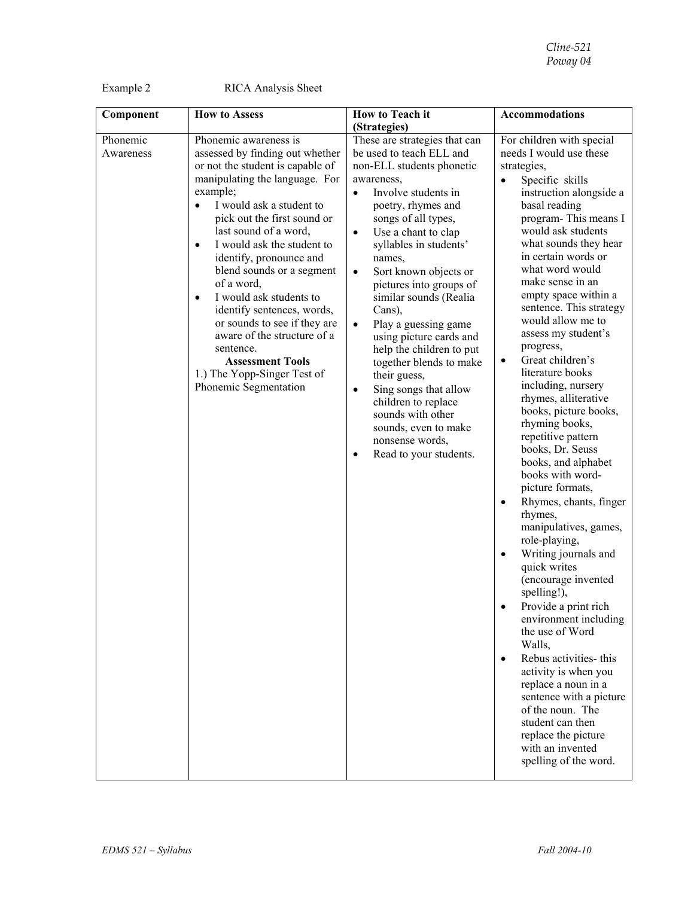Example 2 RICA Analysis Sheet

| Component             | <b>How to Assess</b>                                                                                                                                                                                                                                                                                                                                                                                                                                                                                                                                                                              | How to Teach it                                                                                                                                                                                                                                                                                                                                                                                                                                                                                                                                                                                                                                                               | <b>Accommodations</b>                                                                                                                                                                                                                                                                                                                                                                                                                                                                                                                                                                                                                                                                                                                                                                                                                                                                                                                                                                                                                                                                                                   |
|-----------------------|---------------------------------------------------------------------------------------------------------------------------------------------------------------------------------------------------------------------------------------------------------------------------------------------------------------------------------------------------------------------------------------------------------------------------------------------------------------------------------------------------------------------------------------------------------------------------------------------------|-------------------------------------------------------------------------------------------------------------------------------------------------------------------------------------------------------------------------------------------------------------------------------------------------------------------------------------------------------------------------------------------------------------------------------------------------------------------------------------------------------------------------------------------------------------------------------------------------------------------------------------------------------------------------------|-------------------------------------------------------------------------------------------------------------------------------------------------------------------------------------------------------------------------------------------------------------------------------------------------------------------------------------------------------------------------------------------------------------------------------------------------------------------------------------------------------------------------------------------------------------------------------------------------------------------------------------------------------------------------------------------------------------------------------------------------------------------------------------------------------------------------------------------------------------------------------------------------------------------------------------------------------------------------------------------------------------------------------------------------------------------------------------------------------------------------|
|                       |                                                                                                                                                                                                                                                                                                                                                                                                                                                                                                                                                                                                   | (Strategies)                                                                                                                                                                                                                                                                                                                                                                                                                                                                                                                                                                                                                                                                  |                                                                                                                                                                                                                                                                                                                                                                                                                                                                                                                                                                                                                                                                                                                                                                                                                                                                                                                                                                                                                                                                                                                         |
| Phonemic<br>Awareness | Phonemic awareness is<br>assessed by finding out whether<br>or not the student is capable of<br>manipulating the language. For<br>example;<br>I would ask a student to<br>$\bullet$<br>pick out the first sound or<br>last sound of a word,<br>I would ask the student to<br>$\bullet$<br>identify, pronounce and<br>blend sounds or a segment<br>of a word,<br>I would ask students to<br>$\bullet$<br>identify sentences, words,<br>or sounds to see if they are<br>aware of the structure of a<br>sentence.<br><b>Assessment Tools</b><br>1.) The Yopp-Singer Test of<br>Phonemic Segmentation | These are strategies that can<br>be used to teach ELL and<br>non-ELL students phonetic<br>awareness,<br>Involve students in<br>$\bullet$<br>poetry, rhymes and<br>songs of all types,<br>Use a chant to clap<br>$\bullet$<br>syllables in students'<br>names,<br>Sort known objects or<br>$\bullet$<br>pictures into groups of<br>similar sounds (Realia<br>Cans),<br>Play a guessing game<br>$\bullet$<br>using picture cards and<br>help the children to put<br>together blends to make<br>their guess,<br>Sing songs that allow<br>$\bullet$<br>children to replace<br>sounds with other<br>sounds, even to make<br>nonsense words,<br>Read to your students.<br>$\bullet$ | For children with special<br>needs I would use these<br>strategies,<br>Specific skills<br>instruction alongside a<br>basal reading<br>program-This means I<br>would ask students<br>what sounds they hear<br>in certain words or<br>what word would<br>make sense in an<br>empty space within a<br>sentence. This strategy<br>would allow me to<br>assess my student's<br>progress,<br>Great children's<br>$\bullet$<br>literature books<br>including, nursery<br>rhymes, alliterative<br>books, picture books,<br>rhyming books,<br>repetitive pattern<br>books, Dr. Seuss<br>books, and alphabet<br>books with word-<br>picture formats,<br>Rhymes, chants, finger<br>٠<br>rhymes,<br>manipulatives, games,<br>role-playing,<br>Writing journals and<br>quick writes<br>(encourage invented<br>spelling!),<br>Provide a print rich<br>environment including<br>the use of Word<br>Walls,<br>Rebus activities- this<br>$\bullet$<br>activity is when you<br>replace a noun in a<br>sentence with a picture<br>of the noun. The<br>student can then<br>replace the picture<br>with an invented<br>spelling of the word. |